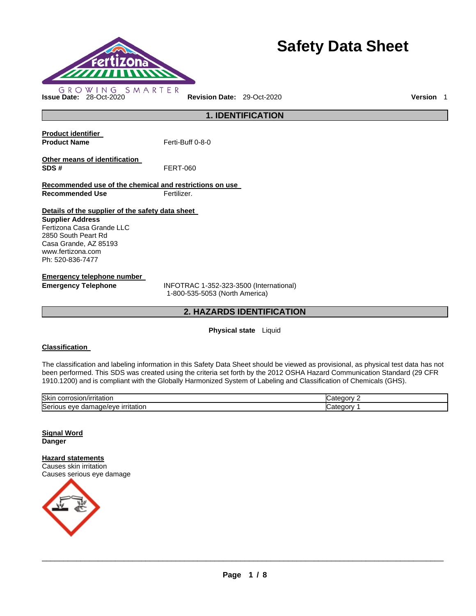

# **Safety Data Sheet**

### **1. IDENTIFICATION Product identifier Product Name Ferti-Buff 0-8-0 Other means of identification SDS #** FERT-060 **Recommended use of the chemical and restrictions on use Recommended Use Fertilizer. Details of the supplier of the safety data sheet Supplier Address** Fertizona Casa Grande LLC 2850 South Peart Rd Casa Grande, AZ 85193 www.fertizona.com Ph: 520-836-7477

**Emergency telephone number** 

**Emergency Telephone** INFOTRAC 1-352-323-3500 (International) 1-800-535-5053 (North America)

### **2. HAZARDS IDENTIFICATION**

#### **Physical state** Liquid

#### **Classification**

The classification and labeling information in this Safety Data Sheet should be viewed as provisional, as physical test data has not been performed. This SDS was created using the criteria set forth by the 2012 OSHA Hazard Communication Standard (29 CFR 1910.1200) and is compliant with the Globally Harmonized System of Labeling and Classification of Chemicals (GHS).

| Skin<br>$\cdots$ correct<br>$l$ rritotior<br>'rritatiol.<br>. ƏSIONINI F<br>JOLL, | tegory<br>.ate |
|-----------------------------------------------------------------------------------|----------------|
| Seriou<br><b>irritation</b><br>.<br>eve<br>паг<br>hade/eve<br>. .                 | `aorv<br>∠ate∕ |

**Signal Word Danger** 

**Hazard statements** Causes skin irritation Causes serious eye damage

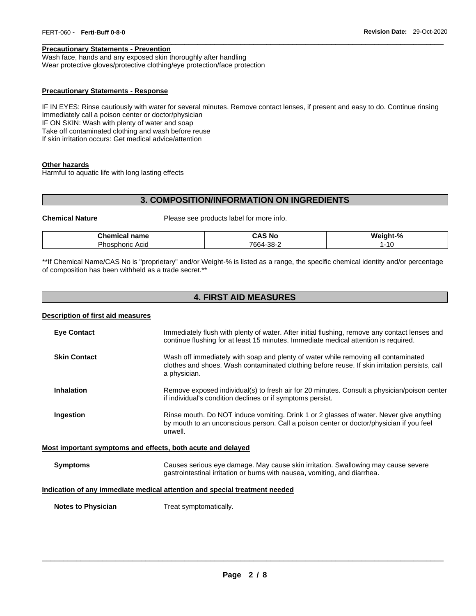#### **Precautionary Statements - Prevention**

Wash face, hands and any exposed skin thoroughly after handling Wear protective gloves/protective clothing/eye protection/face protection

#### **Precautionary Statements - Response**

IF IN EYES: Rinse cautiously with water for several minutes. Remove contact lenses, if present and easy to do. Continue rinsing Immediately call a poison center or doctor/physician IF ON SKIN: Wash with plenty of water and soap Take off contaminated clothing and wash before reuse If skin irritation occurs: Get medical advice/attention

\_\_\_\_\_\_\_\_\_\_\_\_\_\_\_\_\_\_\_\_\_\_\_\_\_\_\_\_\_\_\_\_\_\_\_\_\_\_\_\_\_\_\_\_\_\_\_\_\_\_\_\_\_\_\_\_\_\_\_\_\_\_\_\_\_\_\_\_\_\_\_\_\_\_\_\_\_\_\_\_\_\_\_\_\_\_\_\_\_\_\_\_\_

#### **Other hazards**

Harmful to aquatic life with long lasting effects

#### **3. COMPOSITION/INFORMATION ON INGREDIENTS**

**Chemical Nature** Please see products label for more info.

| Chemical<br>name                        | r n c<br>: No<br><b>UNC</b> | Weight-% |
|-----------------------------------------|-----------------------------|----------|
| –<br>ﯩﺪ<br>Acia<br>horic<br>ነዐያ<br>וו ז | 7664-<br>-38-2              | AC<br>טו |

\*\*If Chemical Name/CAS No is "proprietary" and/or Weight-% is listed as a range, the specific chemical identity and/or percentage of composition has been withheld as a trade secret.\*\*

### **4. FIRST AID MEASURES**

#### **Description of first aid measures**

| <b>Eye Contact</b>                                                         | Immediately flush with plenty of water. After initial flushing, remove any contact lenses and<br>continue flushing for at least 15 minutes. Immediate medical attention is required.                |  |
|----------------------------------------------------------------------------|-----------------------------------------------------------------------------------------------------------------------------------------------------------------------------------------------------|--|
| <b>Skin Contact</b>                                                        | Wash off immediately with soap and plenty of water while removing all contaminated<br>clothes and shoes. Wash contaminated clothing before reuse. If skin irritation persists, call<br>a physician. |  |
| <b>Inhalation</b>                                                          | Remove exposed individual(s) to fresh air for 20 minutes. Consult a physician/poison center<br>if individual's condition declines or if symptoms persist.                                           |  |
| Ingestion                                                                  | Rinse mouth. Do NOT induce vomiting. Drink 1 or 2 glasses of water. Never give anything<br>by mouth to an unconscious person. Call a poison center or doctor/physician if you feel<br>unwell.       |  |
| Most important symptoms and effects, both acute and delayed                |                                                                                                                                                                                                     |  |
| <b>Symptoms</b>                                                            | Causes serious eye damage. May cause skin irritation. Swallowing may cause severe<br>gastrointestinal irritation or burns with nausea, vomiting, and diarrhea.                                      |  |
| Indication of any immediate medical attention and special treatment needed |                                                                                                                                                                                                     |  |
| <b>Notes to Physician</b>                                                  | Treat symptomatically.                                                                                                                                                                              |  |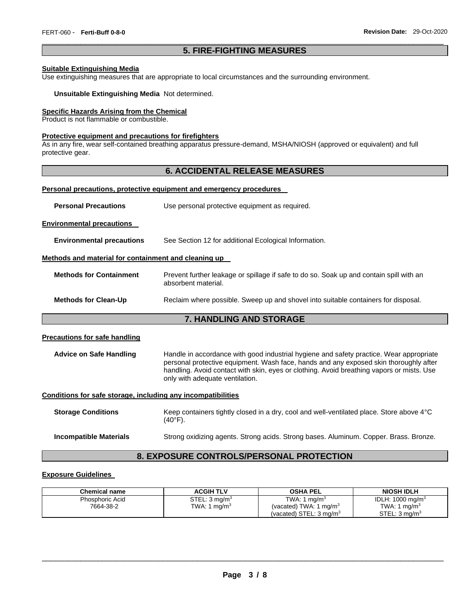#### \_\_\_\_\_\_\_\_\_\_\_\_\_\_\_\_\_\_\_\_\_\_\_\_\_\_\_\_\_\_\_\_\_\_\_\_\_\_\_\_\_\_\_\_\_\_\_\_\_\_\_\_\_\_\_\_\_\_\_\_\_\_\_\_\_\_\_\_\_\_\_\_\_\_\_\_\_\_\_\_\_\_\_\_\_\_\_\_\_\_\_\_\_ **5. FIRE-FIGHTING MEASURES**

#### **Suitable Extinguishing Media**

Use extinguishing measures that are appropriate to local circumstances and the surrounding environment.

#### **Unsuitable Extinguishing Media** Not determined.

#### **Specific Hazards Arising from the Chemical**

Product is not flammable or combustible.

#### **Protective equipment and precautions for firefighters**

As in any fire, wear self-contained breathing apparatus pressure-demand, MSHA/NIOSH (approved or equivalent) and full protective gear.

### **6. ACCIDENTAL RELEASE MEASURES**

#### **Personal precautions, protective equipment and emergency procedures**

**Environmental precautions** 

**Environmental precautions** See Section 12 for additional Ecological Information.

### **Methods and material for containment and cleaning up**

| <b>Methods for Containment</b> | Prevent further leakage or spillage if safe to do so. Soak up and contain spill with an<br>absorbent material. |
|--------------------------------|----------------------------------------------------------------------------------------------------------------|
| <b>Methods for Clean-Up</b>    | Reclaim where possible. Sweep up and shovel into suitable containers for disposal.                             |

### **7. HANDLING AND STORAGE**

#### **Precautions for safe handling**

**Advice on Safe Handling** Handle in accordance with good industrial hygiene and safety practice. Wear appropriate personal protective equipment. Wash face, hands and any exposed skin thoroughly after handling. Avoid contact with skin, eyes or clothing. Avoid breathing vapors or mists. Use only with adequate ventilation.

#### **Conditions for safe storage, including any incompatibilities**

**Storage Conditions** Keep containers tightly closed in a dry, cool and well-ventilated place. Store above 4°C  $(40^{\circ}F)$ .

#### **Incompatible Materials Strong oxidizing agents. Strong acids. Strong bases. Aluminum. Copper. Brass. Bronze.**

#### **8. EXPOSURE CONTROLS/PERSONAL PROTECTION**

### **Exposure Guidelines**

| Chemical name          | <b>ACGIH TLV</b>         | <b>OSHA PEL</b>                    | <b>NIOSH IDLH</b>           |
|------------------------|--------------------------|------------------------------------|-----------------------------|
| <b>Phosphoric Acid</b> | STEL: $3 \text{ ma/m}^3$ | TWA: 1 $ma/m3$                     | IDLH: $1000 \text{ mg/m}^3$ |
| 7664-38-2              | TWA: 1 mg/m <sup>3</sup> | (vacated) TWA: 1 mg/m <sup>3</sup> | TWA: 1 mg/m <sup>3</sup>    |
|                        |                          | (vacated) STEL: $3 \text{ ma/m}^3$ | STEL: 3 ma/m <sup>3</sup>   |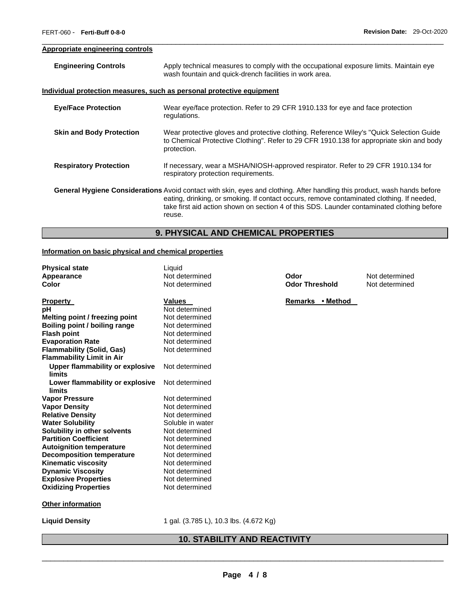#### **Appropriate engineering controls**

| <b>Engineering Controls</b>     | Apply technical measures to comply with the occupational exposure limits. Maintain eye<br>wash fountain and quick-drench facilities in work area.                                                                                                                                                                                     |
|---------------------------------|---------------------------------------------------------------------------------------------------------------------------------------------------------------------------------------------------------------------------------------------------------------------------------------------------------------------------------------|
|                                 | <u>Individual protection measures, such as personal protective equipment</u>                                                                                                                                                                                                                                                          |
| <b>Eye/Face Protection</b>      | Wear eye/face protection. Refer to 29 CFR 1910.133 for eye and face protection<br>regulations.                                                                                                                                                                                                                                        |
| <b>Skin and Body Protection</b> | Wear protective gloves and protective clothing. Reference Wiley's "Quick Selection Guide"<br>to Chemical Protective Clothing". Refer to 29 CFR 1910.138 for appropriate skin and body<br>protection.                                                                                                                                  |
| <b>Respiratory Protection</b>   | If necessary, wear a MSHA/NIOSH-approved respirator. Refer to 29 CFR 1910.134 for<br>respiratory protection requirements.                                                                                                                                                                                                             |
|                                 | <b>General Hygiene Considerations</b> Avoid contact with skin, eyes and clothing. After handling this product, wash hands before<br>eating, drinking, or smoking. If contact occurs, remove contaminated clothing. If needed,<br>take first aid action shown on section 4 of this SDS. Launder contaminated clothing before<br>reuse. |

\_\_\_\_\_\_\_\_\_\_\_\_\_\_\_\_\_\_\_\_\_\_\_\_\_\_\_\_\_\_\_\_\_\_\_\_\_\_\_\_\_\_\_\_\_\_\_\_\_\_\_\_\_\_\_\_\_\_\_\_\_\_\_\_\_\_\_\_\_\_\_\_\_\_\_\_\_\_\_\_\_\_\_\_\_\_\_\_\_\_\_\_\_

### **9. PHYSICAL AND CHEMICAL PROPERTIES**

#### **Information on basic physical and chemical properties**

| <b>Physical state</b>                  | Liquid           |
|----------------------------------------|------------------|
| Appearance                             | Not determined   |
| Color                                  | Not determined   |
|                                        |                  |
| <b>Property</b>                        | <b>Values</b>    |
| рH                                     | Not determined   |
| Melting point / freezing point         | Not determined   |
| <b>Boiling point / boiling range</b>   | Not determined   |
| <b>Flash point</b>                     | Not determined   |
| <b>Evaporation Rate</b>                | Not determined   |
| <b>Flammability (Solid, Gas)</b>       | Not determined   |
| <b>Flammability Limit in Air</b>       |                  |
| <b>Upper flammability or explosive</b> | Not determined   |
| limits                                 |                  |
| Lower flammability or explosive        | Not determined   |
| limits                                 |                  |
| <b>Vapor Pressure</b>                  | Not determined   |
| <b>Vapor Density</b>                   | Not determined   |
| <b>Relative Density</b>                | Not determined   |
| <b>Water Solubility</b>                | Soluble in water |
| Solubility in other solvents           | Not determined   |
| <b>Partition Coefficient</b>           | Not determined   |
| <b>Autoignition temperature</b>        | Not determined   |
| <b>Decomposition temperature</b>       | Not determined   |
| <b>Kinematic viscosity</b>             | Not determined   |
| <b>Dynamic Viscosity</b>               | Not determined   |
| <b>Explosive Properties</b>            | Not determined   |
| <b>Oxidizing Properties</b>            | Not determined   |
|                                        |                  |
| <b>Other information</b>               |                  |
|                                        |                  |
|                                        |                  |

**Apple The Codor Codor Threshold** Mot determined **Odor Threshold Odor Threshold** 

**Remarks • Method** 

**Liquid Density** 1 gal. (3.785 L), 10.3 lbs. (4.672 Kg)

## **10. STABILITY AND REACTIVITY**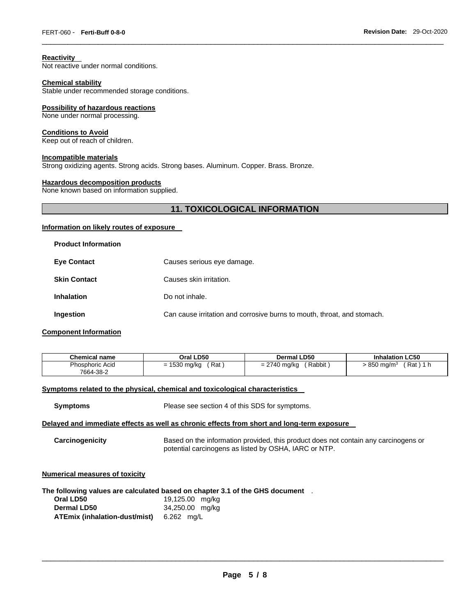#### **Reactivity**

Not reactive under normal conditions.

#### **Chemical stability**

Stable under recommended storage conditions.

#### **Possibility of hazardous reactions**

None under normal processing.

#### **Conditions to Avoid**

Keep out of reach of children.

#### **Incompatible materials**

Strong oxidizing agents. Strong acids. Strong bases. Aluminum. Copper. Brass. Bronze.

#### **Hazardous decomposition products**

None known based on information supplied.

### **11. TOXICOLOGICAL INFORMATION**

\_\_\_\_\_\_\_\_\_\_\_\_\_\_\_\_\_\_\_\_\_\_\_\_\_\_\_\_\_\_\_\_\_\_\_\_\_\_\_\_\_\_\_\_\_\_\_\_\_\_\_\_\_\_\_\_\_\_\_\_\_\_\_\_\_\_\_\_\_\_\_\_\_\_\_\_\_\_\_\_\_\_\_\_\_\_\_\_\_\_\_\_\_

#### **Information on likely routes of exposure**

| <b>Product Information</b> |                                                                         |
|----------------------------|-------------------------------------------------------------------------|
| <b>Eye Contact</b>         | Causes serious eye damage.                                              |
| <b>Skin Contact</b>        | Causes skin irritation.                                                 |
| <b>Inhalation</b>          | Do not inhale.                                                          |
| Ingestion                  | Can cause irritation and corrosive burns to mouth, throat, and stomach. |

#### **Component Information**

| <b>Chemical name</b> | Oral LD50      | Dermal LD50  | <b>Inhalation LC50</b> |
|----------------------|----------------|--------------|------------------------|
| Phosphoric Acid      | $= 1530$ mg/kg | ' Rabbit     | Rat ) 1 h              |
| 7664-38-2            | Rat            | = 2740 mg/kg | 850 mg/m <sup>3</sup>  |

#### **Symptoms related to the physical, chemical and toxicological characteristics**

| <b>Symptoms</b> | Please see section 4 of this SDS for symptoms. |
|-----------------|------------------------------------------------|
|-----------------|------------------------------------------------|

#### **Delayed and immediate effects as well as chronic effects from short and long-term exposure**

| Carcinogenicity | Based on the information provided, this product does not contain any carcinogens or |
|-----------------|-------------------------------------------------------------------------------------|
|                 | potential carcinogens as listed by OSHA, IARC or NTP.                               |

#### **Numerical measures of toxicity**

#### **The following values are calculated based on chapter 3.1 of the GHS document** .

| Oral LD50                     | 19,125.00 mg/kg |
|-------------------------------|-----------------|
| Dermal LD50                   | 34,250.00 mg/kg |
| ATEmix (inhalation-dust/mist) | 6.262 ma/L      |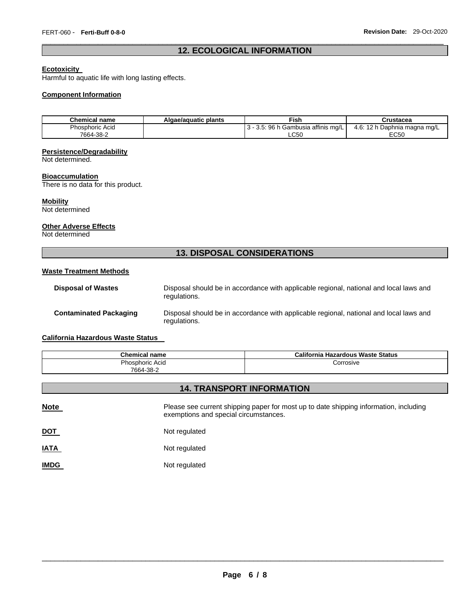#### \_\_\_\_\_\_\_\_\_\_\_\_\_\_\_\_\_\_\_\_\_\_\_\_\_\_\_\_\_\_\_\_\_\_\_\_\_\_\_\_\_\_\_\_\_\_\_\_\_\_\_\_\_\_\_\_\_\_\_\_\_\_\_\_\_\_\_\_\_\_\_\_\_\_\_\_\_\_\_\_\_\_\_\_\_\_\_\_\_\_\_\_\_ **12. ECOLOGICAL INFORMATION**

### **Ecotoxicity**

Harmful to aquatic life with long lasting effects.

#### **Component Information**

| <b>Chemical name</b> | Algae/aguatic plants | <b>Fish</b>                     | Crustacea                         |
|----------------------|----------------------|---------------------------------|-----------------------------------|
| Phosphoric Acid      |                      | 5: 96 h Gambusia affinis mɑ/L l | : 12 h Daphnia magna mg/L<br>4.6. |
| 7664-38-2            |                      | LC50                            | EC50                              |

#### **Persistence/Degradability**

Not determined.

#### **Bioaccumulation**

There is no data for this product.

#### **Mobility**

Not determined

#### **Other Adverse Effects**

Not determined

### **13. DISPOSAL CONSIDERATIONS**

#### **Waste Treatment Methods**

| <b>Disposal of Wastes</b>     | Disposal should be in accordance with applicable regional, national and local laws and<br>regulations. |
|-------------------------------|--------------------------------------------------------------------------------------------------------|
| <b>Contaminated Packaging</b> | Disposal should be in accordance with applicable regional, national and local laws and<br>regulations. |

### **California Hazardous Waste Status**

| <b>Chemical name</b> | California Hazardous Waste Status |
|----------------------|-----------------------------------|
| Phosphoric Acid      | Corrosive                         |
| 7664-38-2            |                                   |

### **14. TRANSPORT INFORMATION**

| <b>Note</b> | Please see current shipping paper for most up to date shipping information, including<br>exemptions and special circumstances. |
|-------------|--------------------------------------------------------------------------------------------------------------------------------|
| <u>DOT</u>  | Not regulated                                                                                                                  |
| <b>IATA</b> | Not regulated                                                                                                                  |
| <b>IMDG</b> | Not regulated                                                                                                                  |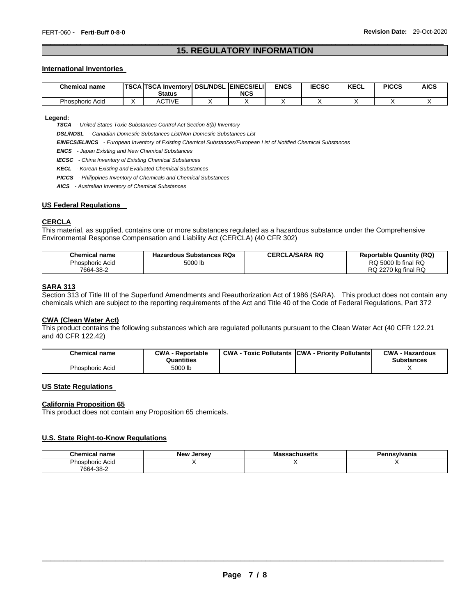#### \_\_\_\_\_\_\_\_\_\_\_\_\_\_\_\_\_\_\_\_\_\_\_\_\_\_\_\_\_\_\_\_\_\_\_\_\_\_\_\_\_\_\_\_\_\_\_\_\_\_\_\_\_\_\_\_\_\_\_\_\_\_\_\_\_\_\_\_\_\_\_\_\_\_\_\_\_\_\_\_\_\_\_\_\_\_\_\_\_\_\_\_\_ **15. REGULATORY INFORMATION**

#### **International Inventories**

| <b>Chemical name</b> | <b>TSCA TSCA Inventory DSL/NDSL EINECS/ELI</b><br><b>Status</b> | <b>NCS</b> | <b>ENCS</b> | <b>IECSC</b> | <b>KECL</b> | <b>PICCS</b> | <b>AICS</b> |
|----------------------|-----------------------------------------------------------------|------------|-------------|--------------|-------------|--------------|-------------|
| Phosphoric Acid      | <b>ACTIVE</b>                                                   |            |             |              |             |              |             |

**Legend:** 

*TSCA - United States Toxic Substances Control Act Section 8(b) Inventory* 

*DSL/NDSL - Canadian Domestic Substances List/Non-Domestic Substances List* 

*EINECS/ELINCS - European Inventory of Existing Chemical Substances/European List of Notified Chemical Substances* 

*ENCS - Japan Existing and New Chemical Substances* 

*IECSC - China Inventory of Existing Chemical Substances* 

*KECL - Korean Existing and Evaluated Chemical Substances* 

*PICCS - Philippines Inventory of Chemicals and Chemical Substances* 

*AICS - Australian Inventory of Chemical Substances* 

#### **US Federal Regulations**

#### **CERCLA**

This material, as supplied, contains one or more substances regulated as a hazardous substance under the Comprehensive Environmental Response Compensation and Liability Act (CERCLA) (40 CFR 302)

| <b>Chemical name</b>   | <b>Hazardous Substances RQs</b> | <b>CERCLA/SARA RQ</b> | <b>Reportable Quantity (RQ)</b> |
|------------------------|---------------------------------|-----------------------|---------------------------------|
| <b>Phosphoric Acid</b> | 5000 lb                         |                       | RQ 5000 lb final RQ             |
| 7664-38-2              |                                 |                       | RQ 2270 kg final RQ             |

### **SARA 313**

Section 313 of Title III of the Superfund Amendments and Reauthorization Act of 1986 (SARA). This product does not contain any chemicals which are subject to the reporting requirements of the Act and Title 40 of the Code of Federal Regulations, Part 372

#### **CWA (Clean Water Act)**

This product contains the following substances which are regulated pollutants pursuant to the Clean Water Act (40 CFR 122.21 and 40 CFR 122.42)

| <b>Chemical name</b>   | <b>CWA - Reportable</b><br>Quantities | <b>CWA</b><br><b>Toxic Pollutants</b> | <b>CWA - Priority Pollutants</b> | CWA-<br>Hazardous<br><b>Substances</b> |
|------------------------|---------------------------------------|---------------------------------------|----------------------------------|----------------------------------------|
| <b>Phosphoric Acid</b> | 5000 lb                               |                                       |                                  |                                        |

#### **US State Regulations**

#### **California Proposition 65**

This product does not contain any Proposition 65 chemicals.

#### **U.S. State Right-to-Know Regulations**

| Chemical<br>`name | . Jersev<br>New | Ma<br>ıssachusetts | `svIvania<br><b><i><u>Band</u></i></b><br> |
|-------------------|-----------------|--------------------|--------------------------------------------|
| Phosphoric Acid   |                 |                    |                                            |
| 7664-38-2         |                 |                    |                                            |